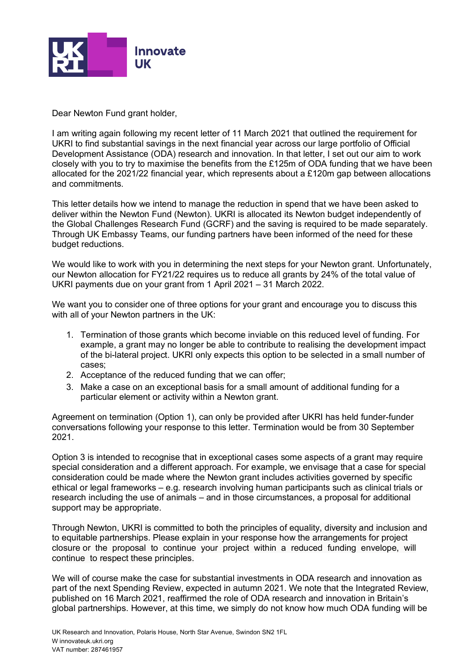

Dear Newton Fund grant holder,

I am writing again following my recent letter of 11 March 2021 that outlined the requirement for UKRI to find substantial savings in the next financial year across our large portfolio of Official Development Assistance (ODA) research and innovation. In that letter, I set out our aim to work closely with you to try to maximise the benefits from the £125m of ODA funding that we have been allocated for the 2021/22 financial year, which represents about a £120m gap between allocations and commitments.

This letter details how we intend to manage the reduction in spend that we have been asked to deliver within the Newton Fund (Newton). UKRI is allocated its Newton budget independently of the Global Challenges Research Fund (GCRF) and the saving is required to be made separately. Through UK Embassy Teams, our funding partners have been informed of the need for these budget reductions.

We would like to work with you in determining the next steps for your Newton grant. Unfortunately, our Newton allocation for FY21/22 requires us to reduce all grants by 24% of the total value of UKRI payments due on your grant from 1 April 2021 – 31 March 2022.

We want you to consider one of three options for your grant and encourage you to discuss this with all of your Newton partners in the UK:

- 1. Termination of those grants which become inviable on this reduced level of funding. For example, a grant may no longer be able to contribute to realising the development impact of the bi-lateral project. UKRI only expects this option to be selected in a small number of cases;
- 2. Acceptance of the reduced funding that we can offer;
- 3. Make a case on an exceptional basis for a small amount of additional funding for a particular element or activity within a Newton grant.

Agreement on termination (Option 1), can only be provided after UKRI has held funder-funder conversations following your response to this letter. Termination would be from 30 September 2021.

Option 3 is intended to recognise that in exceptional cases some aspects of a grant may require special consideration and a different approach. For example, we envisage that a case for special consideration could be made where the Newton grant includes activities governed by specific ethical or legal frameworks – e.g. research involving human participants such as clinical trials or research including the use of animals – and in those circumstances, a proposal for additional support may be appropriate.

Through Newton, UKRI is committed to both the principles of equality, diversity and inclusion and to equitable partnerships. Please explain in your response how the arrangements for project closure or the proposal to continue your project within a reduced funding envelope, will continue to respect these principles.

We will of course make the case for substantial investments in ODA research and innovation as part of the next Spending Review, expected in autumn 2021. We note that the Integrated Review, published on 16 March 2021, reaffirmed the role of ODA research and innovation in Britain's global partnerships. However, at this time, we simply do not know how much ODA funding will be